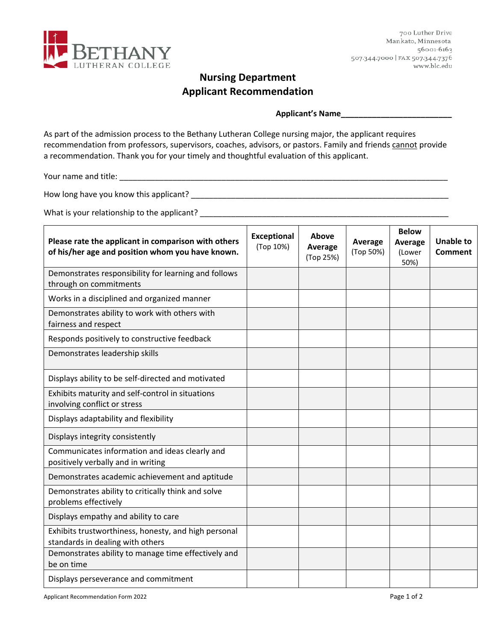

## **Nursing Department Applicant Recommendation**

## **Applicant's Name\_\_\_\_\_\_\_\_\_\_\_\_\_\_\_\_\_\_\_\_\_\_\_\_\_**

As part of the admission process to the Bethany Lutheran College nursing major, the applicant requires recommendation from professors, supervisors, coaches, advisors, or pastors. Family and friends cannot provide a recommendation. Thank you for your timely and thoughtful evaluation of this applicant.

Your name and title: \_\_\_\_\_\_\_\_\_\_\_\_\_\_\_\_\_\_\_\_\_\_\_\_\_\_\_\_\_\_\_\_\_\_\_\_\_\_\_\_\_\_\_\_\_\_\_\_\_\_\_\_\_\_\_\_\_\_\_\_\_\_\_\_\_\_\_\_\_\_\_\_\_\_

How long have you know this applicant? \_\_\_\_\_\_\_\_\_\_\_\_\_\_\_\_\_\_\_\_\_\_\_\_\_\_\_\_\_\_\_\_\_\_\_\_\_\_\_\_\_\_\_\_\_\_\_\_\_\_\_\_\_\_\_\_\_\_

What is your relationship to the applicant? \_\_\_\_\_\_\_\_\_\_\_\_\_\_\_\_\_\_\_\_\_\_\_\_\_\_\_\_\_\_\_\_\_\_\_\_\_\_\_\_\_\_\_\_\_\_\_\_\_\_\_\_\_\_\_\_

| Please rate the applicant in comparison with others<br>of his/her age and position whom you have known. | <b>Exceptional</b><br>(Top 10%) | Above<br>Average<br>(Top 25%) | Average<br>(Top 50%) | <b>Below</b><br><b>Average</b><br>(Lower<br>50%) | <b>Unable to</b><br>Comment |
|---------------------------------------------------------------------------------------------------------|---------------------------------|-------------------------------|----------------------|--------------------------------------------------|-----------------------------|
| Demonstrates responsibility for learning and follows<br>through on commitments                          |                                 |                               |                      |                                                  |                             |
| Works in a disciplined and organized manner                                                             |                                 |                               |                      |                                                  |                             |
| Demonstrates ability to work with others with<br>fairness and respect                                   |                                 |                               |                      |                                                  |                             |
| Responds positively to constructive feedback                                                            |                                 |                               |                      |                                                  |                             |
| Demonstrates leadership skills                                                                          |                                 |                               |                      |                                                  |                             |
| Displays ability to be self-directed and motivated                                                      |                                 |                               |                      |                                                  |                             |
| Exhibits maturity and self-control in situations<br>involving conflict or stress                        |                                 |                               |                      |                                                  |                             |
| Displays adaptability and flexibility                                                                   |                                 |                               |                      |                                                  |                             |
| Displays integrity consistently                                                                         |                                 |                               |                      |                                                  |                             |
| Communicates information and ideas clearly and<br>positively verbally and in writing                    |                                 |                               |                      |                                                  |                             |
| Demonstrates academic achievement and aptitude                                                          |                                 |                               |                      |                                                  |                             |
| Demonstrates ability to critically think and solve<br>problems effectively                              |                                 |                               |                      |                                                  |                             |
| Displays empathy and ability to care                                                                    |                                 |                               |                      |                                                  |                             |
| Exhibits trustworthiness, honesty, and high personal<br>standards in dealing with others                |                                 |                               |                      |                                                  |                             |
| Demonstrates ability to manage time effectively and<br>be on time                                       |                                 |                               |                      |                                                  |                             |
| Displays perseverance and commitment                                                                    |                                 |                               |                      |                                                  |                             |